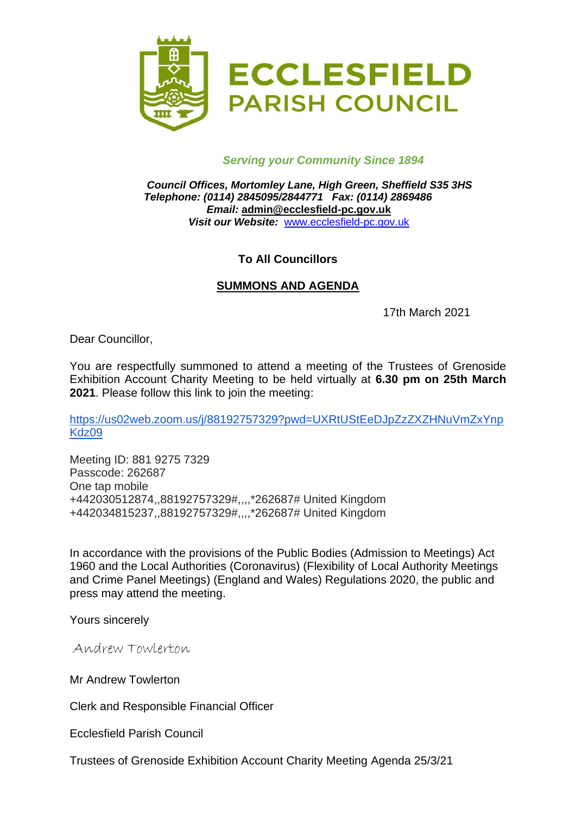

### *Serving your Community Since 1894*

*Council Offices, Mortomley Lane, High Green, Sheffield S35 3HS Telephone: (0114) 2845095/2844771 Fax: (0114) 2869486 Email:* **admin@ecclesfield-pc.gov.uk** *Visit our Website:* [www.ecclesfield-pc.gov.uk](http://www.ecclesfield-pc.gov.uk/)

## **To All Councillors**

### **SUMMONS AND AGENDA**

17th March 2021

Dear Councillor,

You are respectfully summoned to attend a meeting of the Trustees of Grenoside Exhibition Account Charity Meeting to be held virtually at **6.30 pm on 25th March 2021**. Please follow this link to join the meeting:

[https://us02web.zoom.us/j/88192757329?pwd=UXRtUStEeDJpZzZXZHNuVmZxYnp](https://us02web.zoom.us/j/88192757329?pwd=UXRtUStEeDJpZzZXZHNuVmZxYnpKdz09) [Kdz09](https://us02web.zoom.us/j/88192757329?pwd=UXRtUStEeDJpZzZXZHNuVmZxYnpKdz09)

Meeting ID: 881 9275 7329 Passcode: 262687 One tap mobile +442030512874,,88192757329#,,,,\*262687# United Kingdom +442034815237,,88192757329#,,,,\*262687# United Kingdom

In accordance with the provisions of the Public Bodies (Admission to Meetings) Act 1960 and the Local Authorities (Coronavirus) (Flexibility of Local Authority Meetings and Crime Panel Meetings) (England and Wales) Regulations 2020, the public and press may attend the meeting.

Yours sincerely

Andrew Towlerton

Mr Andrew Towlerton

Clerk and Responsible Financial Officer

Ecclesfield Parish Council

Trustees of Grenoside Exhibition Account Charity Meeting Agenda 25/3/21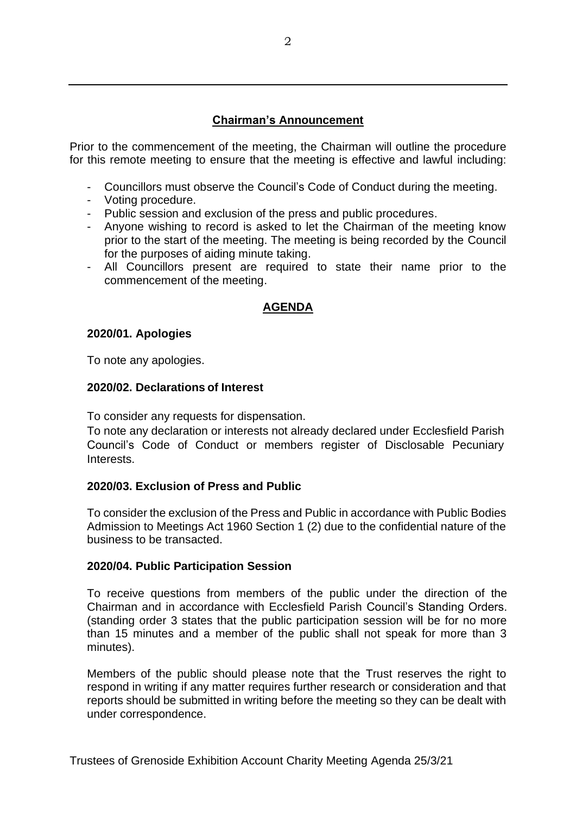# **Chairman's Announcement**

Prior to the commencement of the meeting, the Chairman will outline the procedure for this remote meeting to ensure that the meeting is effective and lawful including:

- Councillors must observe the Council's Code of Conduct during the meeting.
- Voting procedure.
- Public session and exclusion of the press and public procedures.
- Anyone wishing to record is asked to let the Chairman of the meeting know prior to the start of the meeting. The meeting is being recorded by the Council for the purposes of aiding minute taking.
- All Councillors present are required to state their name prior to the commencement of the meeting.

## **AGENDA**

### **2020/01. Apologies**

To note any apologies.

### **2020/02. Declarations of Interest**

To consider any requests for dispensation.

To note any declaration or interests not already declared under Ecclesfield Parish Council's Code of Conduct or members register of Disclosable Pecuniary Interests.

### **2020/03. Exclusion of Press and Public**

To consider the exclusion of the Press and Public in accordance with Public Bodies Admission to Meetings Act 1960 Section 1 (2) due to the confidential nature of the business to be transacted.

### **2020/04. Public Participation Session**

To receive questions from members of the public under the direction of the Chairman and in accordance with Ecclesfield Parish Council's Standing Orders. (standing order 3 states that the public participation session will be for no more than 15 minutes and a member of the public shall not speak for more than 3 minutes).

Members of the public should please note that the Trust reserves the right to respond in writing if any matter requires further research or consideration and that reports should be submitted in writing before the meeting so they can be dealt with under correspondence.